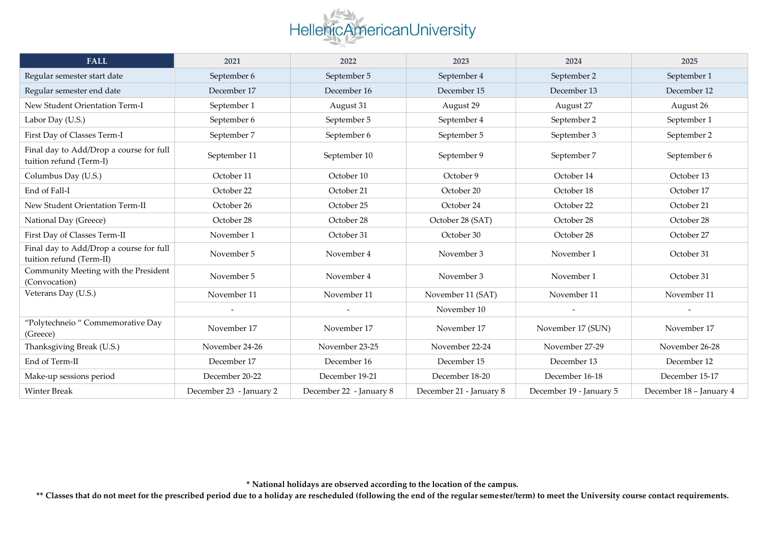## HellenicAmericanUniversity

| <b>FALL</b>                                                         | 2021                    | 2022                    | 2023                    | 2024                    | 2025                    |
|---------------------------------------------------------------------|-------------------------|-------------------------|-------------------------|-------------------------|-------------------------|
| Regular semester start date                                         | September 6             | September 5             | September 4             | September 2             | September 1             |
| Regular semester end date                                           | December 17             | December 16             | December 15             | December 13             | December 12             |
| New Student Orientation Term-I                                      | September 1             | August 31               | August 29               | August 27               | August 26               |
| Labor Day (U.S.)                                                    | September 6             | September 5             | September 4             | September 2             | September 1             |
| First Day of Classes Term-I                                         | September 7             | September 6             | September 5             | September 3             | September 2             |
| Final day to Add/Drop a course for full<br>tuition refund (Term-I)  | September 11            | September 10            | September 9             | September 7             | September 6             |
| Columbus Day (U.S.)                                                 | October 11              | October 10              | October 9               | October 14              | October 13              |
| End of Fall-I                                                       | October 22              | October 21              | October 20              | October 18              | October 17              |
| New Student Orientation Term-II                                     | October 26              | October 25              | October 24              | October 22              | October 21              |
| National Day (Greece)                                               | October 28              | October 28              | October 28 (SAT)        | October 28              | October 28              |
| First Day of Classes Term-II                                        | November 1              | October 31              | October 30              | October 28              | October 27              |
| Final day to Add/Drop a course for full<br>tuition refund (Term-II) | November 5              | November 4              | November 3              | November 1              | October 31              |
| Community Meeting with the President<br>(Convocation)               | November 5              | November 4              | November 3              | November 1              | October 31              |
| Veterans Day (U.S.)                                                 | November 11             | November 11             | November 11 (SAT)       | November 11             | November 11             |
|                                                                     |                         |                         | November 10             |                         |                         |
| "Polytechneio " Commemorative Day<br>(Greece)                       | November 17             | November 17             | November 17             | November 17 (SUN)       | November 17             |
| Thanksgiving Break (U.S.)                                           | November 24-26          | November 23-25          | November 22-24          | November 27-29          | November 26-28          |
| End of Term-II                                                      | December 17             | December 16             | December 15             | December 13             | December 12             |
| Make-up sessions period                                             | December 20-22          | December 19-21          | December 18-20          | December 16-18          | December 15-17          |
| <b>Winter Break</b>                                                 | December 23 - January 2 | December 22 - January 8 | December 21 - January 8 | December 19 - January 5 | December 18 - January 4 |

**\* National holidays are observed according to the location of the campus.**

\*\* Classes that do not meet for the prescribed period due to a holiday are rescheduled (following the end of the regular semester/term) to meet the University course contact requirements.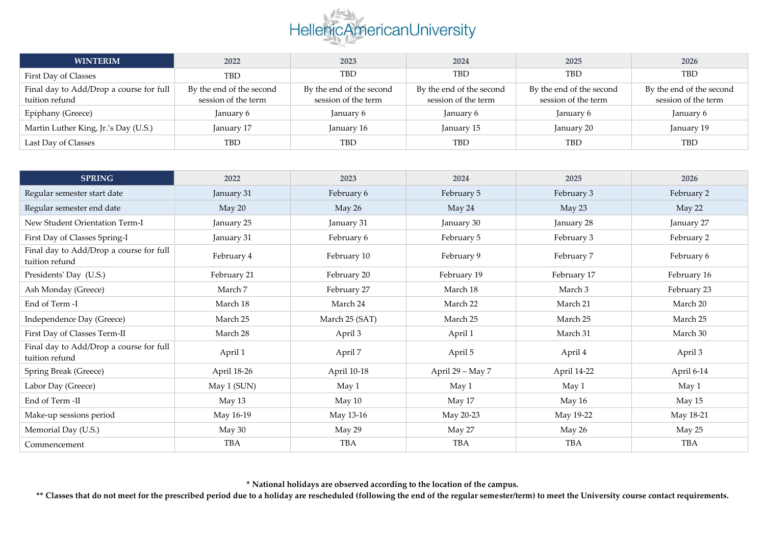

| <b>WINTERIM</b>                                           | 2022                                            | 2023                                            | 2024                                            | 2025                                            | 2026                                            |
|-----------------------------------------------------------|-------------------------------------------------|-------------------------------------------------|-------------------------------------------------|-------------------------------------------------|-------------------------------------------------|
| First Day of Classes                                      | <b>TBD</b>                                      | <b>TBD</b>                                      | TBD                                             | <b>TBD</b>                                      | <b>TBD</b>                                      |
| Final day to Add/Drop a course for full<br>tuition refund | By the end of the second<br>session of the term | By the end of the second<br>session of the term | By the end of the second<br>session of the term | By the end of the second<br>session of the term | By the end of the second<br>session of the term |
| Epiphany (Greece)                                         | January 6                                       | January 6                                       | January 6                                       | January 6                                       | January 6                                       |
| Martin Luther King, Jr.'s Day (U.S.)                      | January 17                                      | January 16                                      | January 15                                      | January 20                                      | January 19                                      |
| Last Day of Classes                                       | TBD                                             | TBD                                             | TBD                                             | <b>TBD</b>                                      | TBD                                             |

| <b>SPRING</b>                                             | 2022        | 2023           | 2024             | 2025        | 2026        |
|-----------------------------------------------------------|-------------|----------------|------------------|-------------|-------------|
| Regular semester start date                               | January 31  | February 6     | February 5       | February 3  | February 2  |
| Regular semester end date                                 | May 20      | May 26         | May 24           | May 23      | May 22      |
| New Student Orientation Term-I                            | January 25  | January 31     | January 30       | January 28  | January 27  |
| First Day of Classes Spring-I                             | January 31  | February 6     | February 5       | February 3  | February 2  |
| Final day to Add/Drop a course for full<br>tuition refund | February 4  | February 10    | February 9       | February 7  | February 6  |
| Presidents' Day (U.S.)                                    | February 21 | February 20    | February 19      | February 17 | February 16 |
| Ash Monday (Greece)                                       | March 7     | February 27    | March 18         | March 3     | February 23 |
| End of Term -I                                            | March 18    | March 24       | March 22         | March 21    | March 20    |
| Independence Day (Greece)                                 | March 25    | March 25 (SAT) | March 25         | March 25    | March 25    |
| First Day of Classes Term-II                              | March 28    | April 3        | April 1          | March 31    | March 30    |
| Final day to Add/Drop a course for full<br>tuition refund | April 1     | April 7        | April 5          | April 4     | April 3     |
| Spring Break (Greece)                                     | April 18-26 | April 10-18    | April 29 - May 7 | April 14-22 | April 6-14  |
| Labor Day (Greece)                                        | May 1 (SUN) | May 1          | May 1            | May 1       | May 1       |
| End of Term -II                                           | May 13      | May 10         | May 17           | May 16      | May 15      |
| Make-up sessions period                                   | May 16-19   | May 13-16      | May 20-23        | May 19-22   | May 18-21   |
| Memorial Day (U.S.)                                       | May 30      | May 29         | May 27           | May 26      | May 25      |
| Commencement                                              | TBA         | <b>TBA</b>     | <b>TBA</b>       | <b>TBA</b>  | <b>TBA</b>  |

**\* National holidays are observed according to the location of the campus.**

\*\* Classes that do not meet for the prescribed period due to a holiday are rescheduled (following the end of the regular semester/term) to meet the University course contact requirements.